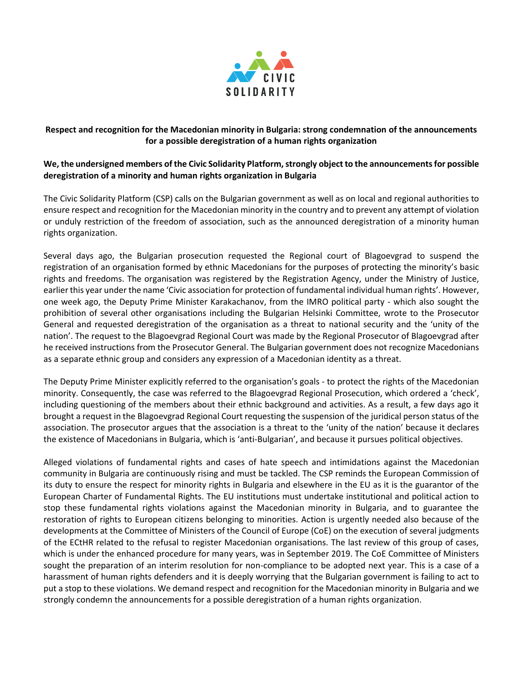

## **Respect and recognition for the Macedonian minority in Bulgaria: strong condemnation of the announcements for a possible deregistration of a human rights organization**

## **We, the undersigned members of the Civic Solidarity Platform, strongly object to the announcements for possible deregistration of a minority and human rights organization in Bulgaria**

The Civic Solidarity Platform (CSP) calls on the Bulgarian government as well as on local and regional authorities to ensure respect and recognition for the Macedonian minority in the country and to prevent any attempt of violation or unduly restriction of the freedom of association, such as the announced deregistration of a minority human rights organization.

Several days ago, the Bulgarian prosecution requested the Regional court of Blagoevgrad to suspend the registration of an organisation formed by ethnic Macedonians for the purposes of protecting the minority's basic rights and freedoms. The organisation was registered by the Registration Agency, under the Ministry of Justice, earlier this year under the name 'Civic association for protection of fundamental individual human rights'. However, one week ago, the Deputy Prime Minister Karakachanov, from the IMRO political party - which also sought the prohibition of several other organisations including the Bulgarian Helsinki Committee, wrote to the Prosecutor General and requested deregistration of the organisation as a threat to national security and the 'unity of the nation'. The request to the Blagoevgrad Regional Court was made by the Regional Prosecutor of Blagoevgrad after he received instructions from the Prosecutor General. The Bulgarian government does not recognize Macedonians as a separate ethnic group and considers any expression of a Macedonian identity as a threat.

The Deputy Prime Minister explicitly referred to the organisation's goals - to protect the rights of the Macedonian minority. Consequently, the case was referred to the Blagoevgrad Regional Prosecution, which ordered a 'check', including questioning of the members about their ethnic background and activities. As a result, a few days ago it brought a request in the Blagoevgrad Regional Court requesting the suspension of the juridical person status of the association. The prosecutor argues that the association is a threat to the 'unity of the nation' because it declares the existence of Macedonians in Bulgaria, which is 'anti-Bulgarian', and because it pursues political objectives.

Alleged violations of fundamental rights and cases of hate speech and intimidations against the Macedonian community in Bulgaria are continuously rising and must be tackled. The CSP reminds the European Commission of its duty to ensure the respect for minority rights in Bulgaria and elsewhere in the EU as it is the guarantor of the European Charter of Fundamental Rights. The EU institutions must undertake institutional and political action to stop these fundamental rights violations against the Macedonian minority in Bulgaria, and to guarantee the restoration of rights to European citizens belonging to minorities. Action is urgently needed also because of the developments at the Committee of Ministers of the Council of Europe (CoE) on the execution of several judgments of the ECtHR related to the refusal to register Macedonian organisations. The last review of this group of cases, which is under the enhanced procedure for many years, was in September 2019. The CoE Committee of Ministers sought the preparation of an interim resolution for non-compliance to be adopted next year. This is a case of a harassment of human rights defenders and it is deeply worrying that the Bulgarian government is failing to act to put a stop to these violations. We demand respect and recognition for the Macedonian minority in Bulgaria and we strongly condemn the announcements for a possible deregistration of a human rights organization.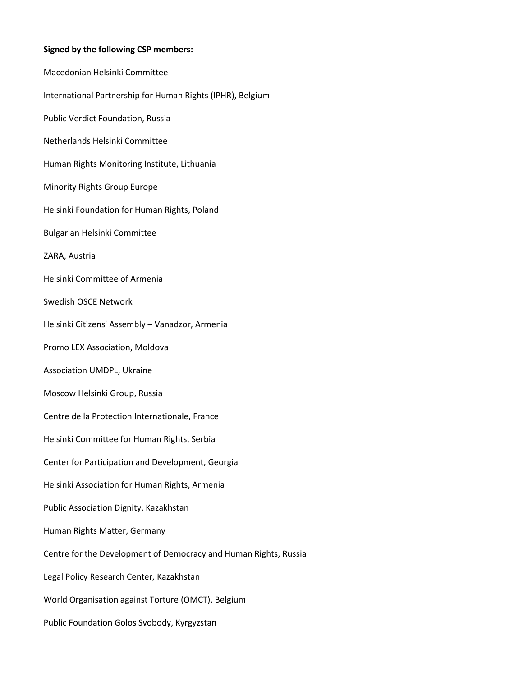## **Signed by the following CSP members:**

Macedonian Helsinki Committee International Partnership for Human Rights (IPHR), Belgium Public Verdict Foundation, Russia Netherlands Helsinki Committee Human Rights Monitoring Institute, Lithuania Minority Rights Group Europe Helsinki Foundation for Human Rights, Poland Bulgarian Helsinki Committee ZARA, Austria Helsinki Committee of Armenia Swedish OSCE Network Helsinki Citizens' Assembly – Vanadzor, Armenia Promo LEX Association, Moldova Association UMDPL, Ukraine Moscow Helsinki Group, Russia Centre de la Protection Internationale, France Helsinki Committee for Human Rights, Serbia Center for Participation and Development, Georgia Helsinki Association for Human Rights, Armenia Public Association Dignity, Kazakhstan Human Rights Matter, Germany Centre for the Development of Democracy and Human Rights, Russia Legal Policy Research Center, Kazakhstan World Organisation against Torture (OMCT), Belgium Public Foundation Golos Svobody, Kyrgyzstan